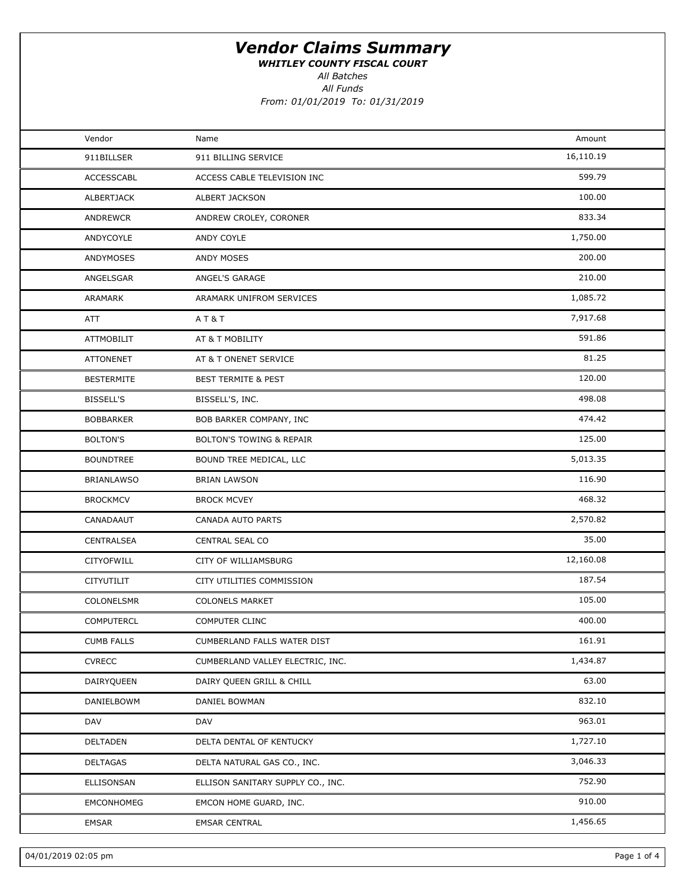WHITLEY COUNTY FISCAL COURT

All Batches

| Vendor            | Name                                | Amount    |  |
|-------------------|-------------------------------------|-----------|--|
| 911BILLSER        | 911 BILLING SERVICE                 | 16,110.19 |  |
| <b>ACCESSCABL</b> | ACCESS CABLE TELEVISION INC         | 599.79    |  |
| ALBERTJACK        | <b>ALBERT JACKSON</b>               | 100.00    |  |
| ANDREWCR          | ANDREW CROLEY, CORONER              | 833.34    |  |
| ANDYCOYLE         | ANDY COYLE                          | 1,750.00  |  |
| ANDYMOSES         | <b>ANDY MOSES</b>                   | 200.00    |  |
| ANGELSGAR         | ANGEL'S GARAGE                      | 210.00    |  |
| ARAMARK           | ARAMARK UNIFROM SERVICES            | 1,085.72  |  |
| <b>ATT</b>        | AT&T                                | 7,917.68  |  |
| <b>ATTMOBILIT</b> | AT & T MOBILITY                     | 591.86    |  |
| <b>ATTONENET</b>  | AT & T ONENET SERVICE               | 81.25     |  |
| <b>BESTERMITE</b> | <b>BEST TERMITE &amp; PEST</b>      | 120.00    |  |
| <b>BISSELL'S</b>  | BISSELL'S, INC.                     | 498.08    |  |
| <b>BOBBARKER</b>  | BOB BARKER COMPANY, INC             | 474.42    |  |
| <b>BOLTON'S</b>   | <b>BOLTON'S TOWING &amp; REPAIR</b> | 125.00    |  |
| <b>BOUNDTREE</b>  | BOUND TREE MEDICAL, LLC             | 5,013.35  |  |
| <b>BRIANLAWSO</b> | <b>BRIAN LAWSON</b>                 | 116.90    |  |
| <b>BROCKMCV</b>   | <b>BROCK MCVEY</b>                  | 468.32    |  |
| CANADAAUT         | CANADA AUTO PARTS                   | 2,570.82  |  |
| CENTRALSEA        | CENTRAL SEAL CO                     | 35.00     |  |
| CITYOFWILL        | CITY OF WILLIAMSBURG                | 12,160.08 |  |
| CITYUTILIT        | CITY UTILITIES COMMISSION           | 187.54    |  |
| COLONELSMR        | <b>COLONELS MARKET</b>              | 105.00    |  |
| <b>COMPUTERCL</b> | COMPUTER CLINC                      | 400.00    |  |
| <b>CUMB FALLS</b> | CUMBERLAND FALLS WATER DIST         | 161.91    |  |
| <b>CVRECC</b>     | CUMBERLAND VALLEY ELECTRIC, INC.    | 1,434.87  |  |
| DAIRYQUEEN        | DAIRY QUEEN GRILL & CHILL           | 63.00     |  |
| DANIELBOWM        | DANIEL BOWMAN                       | 832.10    |  |
| DAV               | DAV                                 | 963.01    |  |
| DELTADEN          | DELTA DENTAL OF KENTUCKY            | 1,727.10  |  |
| DELTAGAS          | DELTA NATURAL GAS CO., INC.         | 3,046.33  |  |
| ELLISONSAN        | ELLISON SANITARY SUPPLY CO., INC.   | 752.90    |  |
| EMCONHOMEG        | EMCON HOME GUARD, INC.              | 910.00    |  |
| EMSAR             | <b>EMSAR CENTRAL</b>                | 1,456.65  |  |
|                   |                                     |           |  |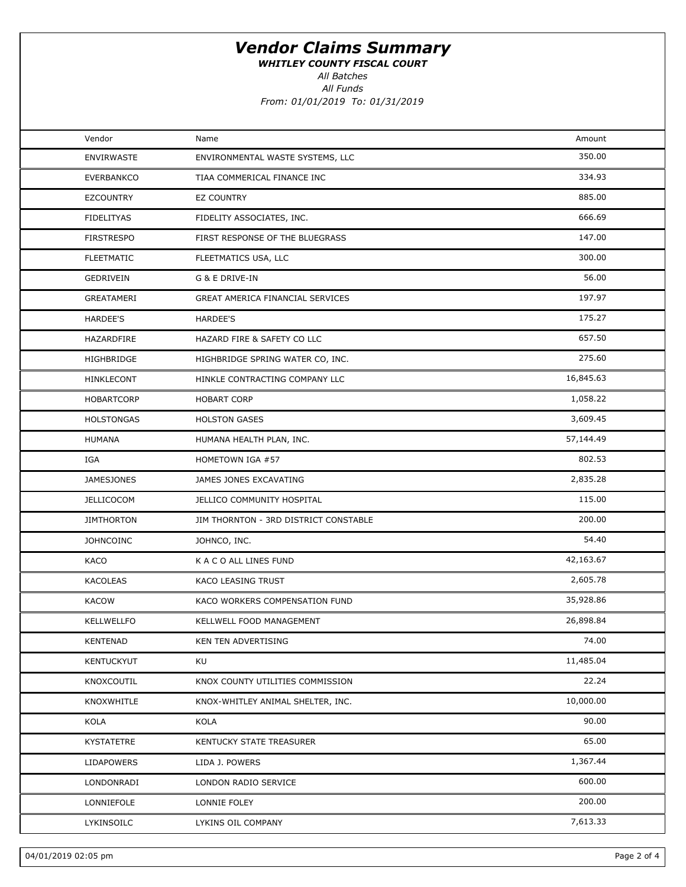WHITLEY COUNTY FISCAL COURT

All Batches

| Vendor            | Name                                  | Amount    |  |
|-------------------|---------------------------------------|-----------|--|
| <b>ENVIRWASTE</b> | ENVIRONMENTAL WASTE SYSTEMS, LLC      | 350.00    |  |
| <b>EVERBANKCO</b> | TIAA COMMERICAL FINANCE INC           | 334.93    |  |
| <b>EZCOUNTRY</b>  | EZ COUNTRY                            | 885.00    |  |
| <b>FIDELITYAS</b> | FIDELITY ASSOCIATES, INC.             | 666.69    |  |
| <b>FIRSTRESPO</b> | FIRST RESPONSE OF THE BLUEGRASS       | 147.00    |  |
| <b>FLEETMATIC</b> | FLEETMATICS USA, LLC                  | 300.00    |  |
| GEDRIVEIN         | G & E DRIVE-IN                        | 56.00     |  |
| GREATAMERI        | GREAT AMERICA FINANCIAL SERVICES      | 197.97    |  |
| HARDEE'S          | HARDEE'S                              | 175.27    |  |
| HAZARDFIRE        | HAZARD FIRE & SAFETY CO LLC           | 657.50    |  |
| HIGHBRIDGE        | HIGHBRIDGE SPRING WATER CO, INC.      | 275.60    |  |
| <b>HINKLECONT</b> | HINKLE CONTRACTING COMPANY LLC        | 16,845.63 |  |
| <b>HOBARTCORP</b> | <b>HOBART CORP</b>                    | 1,058.22  |  |
| <b>HOLSTONGAS</b> | <b>HOLSTON GASES</b>                  | 3,609.45  |  |
| <b>HUMANA</b>     | HUMANA HEALTH PLAN, INC.              | 57,144.49 |  |
| IGA               | HOMETOWN IGA #57                      | 802.53    |  |
| <b>JAMESJONES</b> | JAMES JONES EXCAVATING                | 2,835.28  |  |
| <b>JELLICOCOM</b> | JELLICO COMMUNITY HOSPITAL            | 115.00    |  |
| <b>JIMTHORTON</b> | JIM THORNTON - 3RD DISTRICT CONSTABLE | 200.00    |  |
| <b>JOHNCOINC</b>  | JOHNCO, INC.                          | 54.40     |  |
| KACO              | K A C O ALL LINES FUND                | 42,163.67 |  |
| KACOLEAS          | KACO LEASING TRUST                    | 2,605.78  |  |
| <b>KACOW</b>      | KACO WORKERS COMPENSATION FUND        | 35,928.86 |  |
| <b>KELLWELLFO</b> | KELLWELL FOOD MANAGEMENT              | 26,898.84 |  |
| <b>KENTENAD</b>   | KEN TEN ADVERTISING                   | 74.00     |  |
| <b>KENTUCKYUT</b> | KU                                    | 11,485.04 |  |
| KNOXCOUTIL        | KNOX COUNTY UTILITIES COMMISSION      | 22.24     |  |
| KNOXWHITLE        | KNOX-WHITLEY ANIMAL SHELTER, INC.     | 10,000.00 |  |
| KOLA              | KOLA                                  | 90.00     |  |
| <b>KYSTATETRE</b> | KENTUCKY STATE TREASURER              | 65.00     |  |
| <b>LIDAPOWERS</b> | LIDA J. POWERS                        | 1,367.44  |  |
| LONDONRADI        | LONDON RADIO SERVICE                  | 600.00    |  |
| LONNIEFOLE        | LONNIE FOLEY                          | 200.00    |  |
| LYKINSOILC        | LYKINS OIL COMPANY                    | 7,613.33  |  |
|                   |                                       |           |  |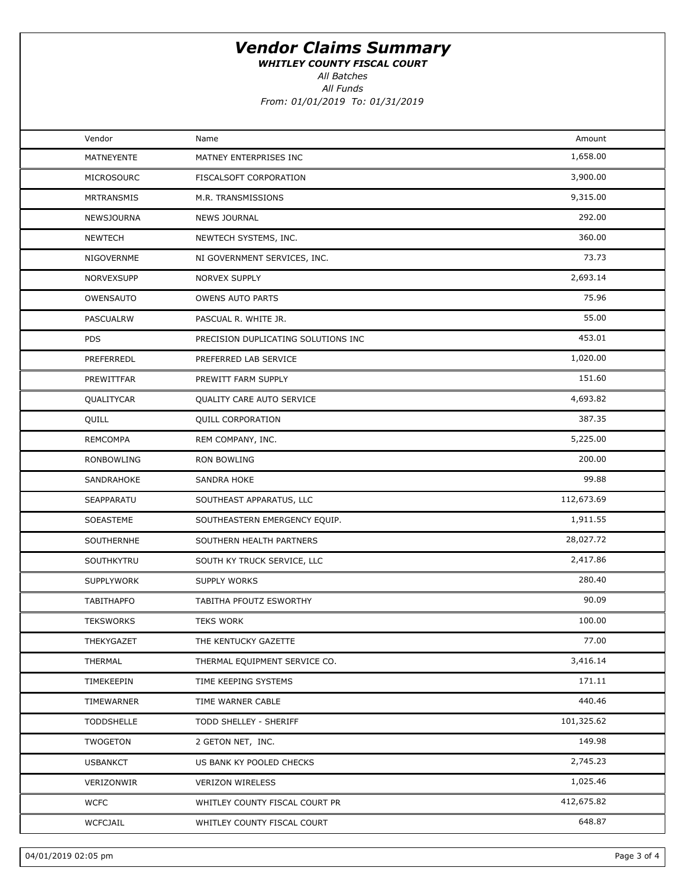WHITLEY COUNTY FISCAL COURT

All Batches

| Vendor            | Name                                | Amount     |  |
|-------------------|-------------------------------------|------------|--|
| MATNEYENTE        | MATNEY ENTERPRISES INC              | 1,658.00   |  |
| MICROSOURC        | FISCALSOFT CORPORATION              | 3,900.00   |  |
| MRTRANSMIS        | M.R. TRANSMISSIONS                  | 9,315.00   |  |
| NEWSJOURNA        | <b>NEWS JOURNAL</b>                 | 292.00     |  |
| <b>NEWTECH</b>    | NEWTECH SYSTEMS, INC.               | 360.00     |  |
| NIGOVERNME        | NI GOVERNMENT SERVICES, INC.        | 73.73      |  |
| NORVEXSUPP        | <b>NORVEX SUPPLY</b>                | 2,693.14   |  |
| OWENSAUTO         | <b>OWENS AUTO PARTS</b>             | 75.96      |  |
| PASCUALRW         | PASCUAL R. WHITE JR.                | 55.00      |  |
| <b>PDS</b>        | PRECISION DUPLICATING SOLUTIONS INC | 453.01     |  |
| PREFERREDL        | PREFERRED LAB SERVICE               | 1,020.00   |  |
| PREWITTFAR        | PREWITT FARM SUPPLY                 | 151.60     |  |
| QUALITYCAR        | QUALITY CARE AUTO SERVICE           | 4,693.82   |  |
| QUILL             | QUILL CORPORATION                   | 387.35     |  |
| <b>REMCOMPA</b>   | REM COMPANY, INC.                   | 5,225.00   |  |
| RONBOWLING        | RON BOWLING                         | 200.00     |  |
| SANDRAHOKE        | SANDRA HOKE                         | 99.88      |  |
| SEAPPARATU        | SOUTHEAST APPARATUS, LLC            | 112,673.69 |  |
| SOEASTEME         | SOUTHEASTERN EMERGENCY EQUIP.       | 1,911.55   |  |
| SOUTHERNHE        | SOUTHERN HEALTH PARTNERS            | 28,027.72  |  |
| SOUTHKYTRU        | SOUTH KY TRUCK SERVICE, LLC         | 2,417.86   |  |
| <b>SUPPLYWORK</b> | SUPPLY WORKS                        | 280.40     |  |
| <b>TABITHAPFO</b> | TABITHA PFOUTZ ESWORTHY             | 90.09      |  |
| <b>TEKSWORKS</b>  | <b>TEKS WORK</b>                    | 100.00     |  |
| THEKYGAZET        | THE KENTUCKY GAZETTE                | 77.00      |  |
| THERMAL           | THERMAL EQUIPMENT SERVICE CO.       | 3,416.14   |  |
| TIMEKEEPIN        | TIME KEEPING SYSTEMS                | 171.11     |  |
| TIMEWARNER        | TIME WARNER CABLE                   | 440.46     |  |
| <b>TODDSHELLE</b> | TODD SHELLEY - SHERIFF              | 101,325.62 |  |
| TWOGETON          | 2 GETON NET, INC.                   | 149.98     |  |
| <b>USBANKCT</b>   | US BANK KY POOLED CHECKS            | 2,745.23   |  |
| VERIZONWIR        | <b>VERIZON WIRELESS</b>             | 1,025.46   |  |
| <b>WCFC</b>       | WHITLEY COUNTY FISCAL COURT PR      | 412,675.82 |  |
| <b>WCFCJAIL</b>   | WHITLEY COUNTY FISCAL COURT         | 648.87     |  |
|                   |                                     |            |  |